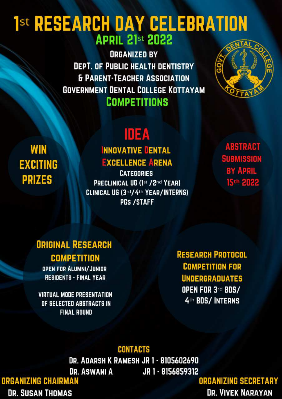# 1st RESEARCH DAY CELEBRATION **APRIL 21st 2022**

**ORGANIZED BY DEPT. OF PUBLIC HEALTH DENTISTRY & PARENT-TEACHER ASSOCIATION GOVERNMENT DENTAL COLLEGE KOTTAYAM COMPETITIONS** 



**WIN EXCITING PRIZES** 

# IDEA **INNOVATIVE DENTAL**

## **EXCELLENCE ARENA**

**CATEGORIES** PRECLINICAL UG (1st /2nd YEAR) CLINICAL UG (3rd/4th YEAR/INTERNS) **PGS /STAFF** 

**ABSTRACT SUBMISSION BY APRIL** 15th 2022

## **ORIGINAL RESEARCH COMPETITION**

**OPEN FOR ALUMNI/JUNIOR RESIDENTS - FINAL YEAR** 

**RESEARCH PROTOCOL COMPETITION FOR UNDERGRADUATES OPEN FOR 3rd BDS/** 4th BDS/INTERNS

### **VIRTUAL MODE PRESENTATION** OF SELECTED ABSTRACTS IN **FINAL ROUND**



### **DR. ADARSH K RAMESH JR 1 - 8105602690** DR. ASWANI A JR 1 - 8156859312 **ORGANIZING CHAIRMAN DR. SUSAN THOMAS**

**ORGANIZING SECRETARY DR. VIVEK NARAYAN**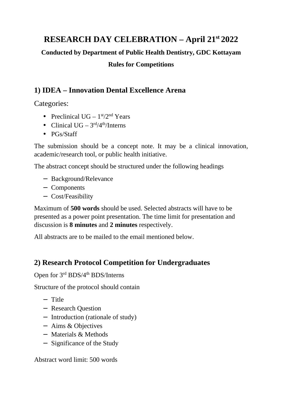#### **RESEARCH DAY CELEBRATION – April 21st 2022**

**Conducted by Department of Public Health Dentistry, GDC Kottayam** 

#### **Rules for Competitions**

#### **1) IDEA – Innovation Dental Excellence Arena**

Categories:

- Preclinical  $UG 1<sup>st</sup>/2<sup>nd</sup> Years$
- Clinical UG  $3<sup>rd</sup>/4<sup>th</sup>/Interns$
- PGs/Staff

The submission should be a concept note. It may be a clinical innovation, academic/research tool, or public health initiative.

The abstract concept should be structured under the following headings

- − Background/Relevance
- − Components
- − Cost/Feasibility

Maximum of **500 words** should be used. Selected abstracts will have to be presented as a power point presentation. The time limit for presentation and discussion is **8 minutes** and **2 minutes** respectively.

All abstracts are to be mailed to the email mentioned below.

#### **2) Research Protocol Competition for Undergraduates**

Open for 3<sup>rd</sup> BDS/4<sup>th</sup> BDS/Interns

Structure of the protocol should contain

- − Title
- − Research Question
- − Introduction (rationale of study)
- − Aims & Objectives
- − Materials & Methods
- − Significance of the Study

Abstract word limit: 500 words